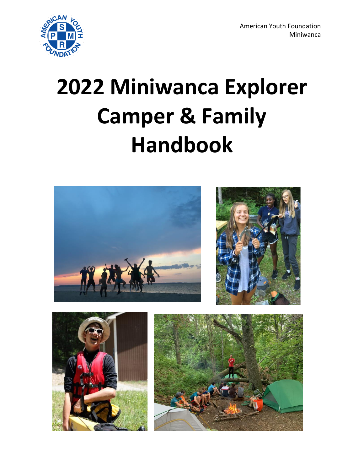

# **2022 Miniwanca Explorer Camper & Family Handbook**

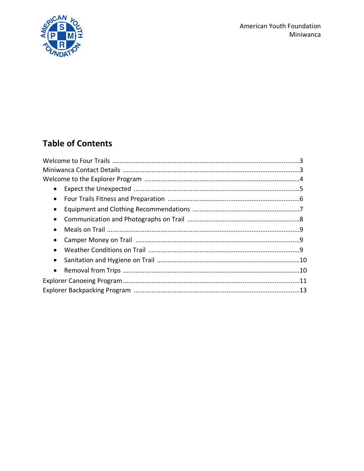

## **Table of Contents**

| $\bullet$ |  |
|-----------|--|
|           |  |
|           |  |
| $\bullet$ |  |
|           |  |
|           |  |
|           |  |
|           |  |
|           |  |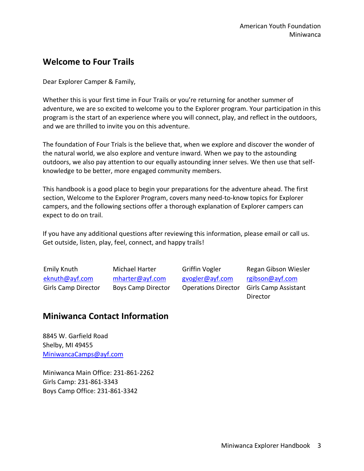## **Welcome to Four Trails**

Dear Explorer Camper & Family,

Whether this is your first time in Four Trails or you're returning for another summer of adventure, we are so excited to welcome you to the Explorer program. Your participation in this program is the start of an experience where you will connect, play, and reflect in the outdoors, and we are thrilled to invite you on this adventure.

The foundation of Four Trials is the believe that, when we explore and discover the wonder of the natural world, we also explore and venture inward. When we pay to the astounding outdoors, we also pay attention to our equally astounding inner selves. We then use that selfknowledge to be better, more engaged community members.

This handbook is a good place to begin your preparations for the adventure ahead. The first section, Welcome to the Explorer Program, covers many need-to-know topics for Explorer campers, and the following sections offer a thorough explanation of Explorer campers can expect to do on trail.

If you have any additional questions after reviewing this information, please email or call us. Get outside, listen, play, feel, connect, and happy trails!

Emily Knuth [eknuth@ayf.com](mailto:eknuth@ayf.com) Girls Camp Director Michael Harter [mharter@ayf.com](mailto:mharter@ayf.com) Boys Camp Director

Griffin Vogler [gvogler@ayf.com](mailto:gvogler@ayf.com) 

Operations Director Girls Camp Assistant Regan Gibson Wiesler [rgibson@ayf.com](mailto:rgibson@ayf.com) Director

## **Miniwanca Contact Information**

8845 W. Garfield Road Shelby, MI 49455 [MiniwancaCamps@ayf.com](mailto:MiniwancaCamps@ayf.com)

Miniwanca Main Office: 231-861-2262 Girls Camp: 231-861-3343 Boys Camp Office: 231-861-3342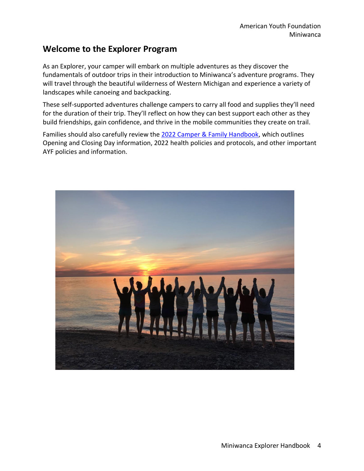### **Welcome to the Explorer Program**

As an Explorer, your camper will embark on multiple adventures as they discover the fundamentals of outdoor trips in their introduction to Miniwanca's adventure programs. They will travel through the beautiful wilderness of Western Michigan and experience a variety of landscapes while canoeing and backpacking.

These self-supported adventures challenge campers to carry all food and supplies they'll need for the duration of their trip. They'll reflect on how they can best support each other as they build friendships, gain confidence, and thrive in the mobile communities they create on trail.

Families should also carefully review the [2022 Camper & Family Handbook,](https://ayf.com/wp-content/uploads/2022/03/2022-Miniwanca-Handbook.pdf) which outlines Opening and Closing Day information, 2022 health policies and protocols, and other important AYF policies and information.

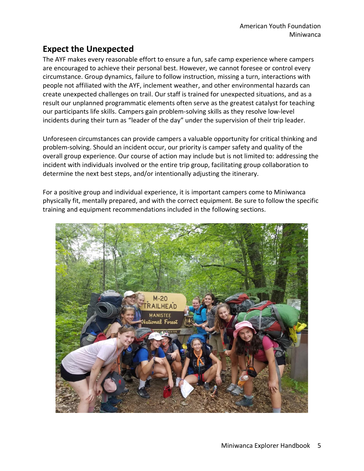## **Expect the Unexpected**

The AYF makes every reasonable effort to ensure a fun, safe camp experience where campers are encouraged to achieve their personal best. However, we cannot foresee or control every circumstance. Group dynamics, failure to follow instruction, missing a turn, interactions with people not affiliated with the AYF, inclement weather, and other environmental hazards can create unexpected challenges on trail. Our staff is trained for unexpected situations, and as a result our unplanned programmatic elements often serve as the greatest catalyst for teaching our participants life skills. Campers gain problem-solving skills as they resolve low-level incidents during their turn as "leader of the day" under the supervision of their trip leader.

Unforeseen circumstances can provide campers a valuable opportunity for critical thinking and problem-solving. Should an incident occur, our priority is camper safety and quality of the overall group experience. Our course of action may include but is not limited to: addressing the incident with individuals involved or the entire trip group, facilitating group collaboration to determine the next best steps, and/or intentionally adjusting the itinerary.

For a positive group and individual experience, it is important campers come to Miniwanca physically fit, mentally prepared, and with the correct equipment. Be sure to follow the specific training and equipment recommendations included in the following sections.

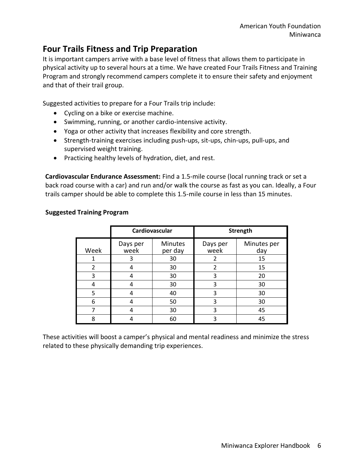## **Four Trails Fitness and Trip Preparation**

It is important campers arrive with a base level of fitness that allows them to participate in physical activity up to several hours at a time. We have created Four Trails Fitness and Training Program and strongly recommend campers complete it to ensure their safety and enjoyment and that of their trail group.

Suggested activities to prepare for a Four Trails trip include:

- Cycling on a bike or exercise machine.
- Swimming, running, or another cardio-intensive activity.
- Yoga or other activity that increases flexibility and core strength.
- Strength-training exercises including push-ups, sit-ups, chin-ups, pull-ups, and supervised weight training.
- Practicing healthy levels of hydration, diet, and rest.

**Cardiovascular Endurance Assessment:** Find a 1.5-mile course (local running track or set a back road course with a car) and run and/or walk the course as fast as you can. Ideally, a Four trails camper should be able to complete this 1.5-mile course in less than 15 minutes.

|                | Cardiovascular   |                           | <b>Strength</b>  |                    |
|----------------|------------------|---------------------------|------------------|--------------------|
| Week           | Days per<br>week | <b>Minutes</b><br>per day | Days per<br>week | Minutes per<br>day |
|                | 3                | 30                        | 2                | 15                 |
| $\overline{2}$ |                  | 30                        | $\overline{2}$   | 15                 |
| 3              |                  | 30                        | 3                | 20                 |
| 4              |                  | 30                        | 3                | 30                 |
| 5              |                  | 40                        | 3                | 30                 |
| 6              |                  | 50                        | 3                | 30                 |
|                |                  | 30                        | 3                | 45                 |
| 8              |                  | 60                        |                  | 45                 |

#### **Suggested Training Program**

These activities will boost a camper's physical and mental readiness and minimize the stress related to these physically demanding trip experiences.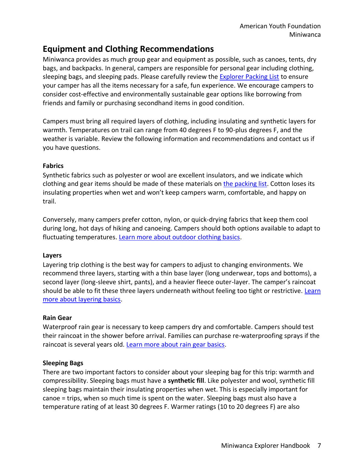## **Equipment and Clothing Recommendations**

Miniwanca provides as much group gear and equipment as possible, such as canoes, tents, dry bags, and backpacks. In general, campers are responsible for personal gear including clothing, sleeping bags, and sleeping pads. Please carefully review the [Explorer Packing List](https://ayf.com/wp-content/uploads/2022/04/MW-EXP-Packing-List-2022.pdf) to ensure your camper has all the items necessary for a safe, fun experience. We encourage campers to consider cost-effective and environmentally sustainable gear options like borrowing from friends and family or purchasing secondhand items in good condition.

Campers must bring all required layers of clothing, including insulating and synthetic layers for warmth. Temperatures on trail can range from 40 degrees F to 90-plus degrees F, and the weather is variable. Review the following information and recommendations and contact us if you have questions.

#### **Fabrics**

Synthetic fabrics such as polyester or wool are excellent insulators, and we indicate which clothing and gear items should be made of these materials o[n the packing list.](https://ayf.com/wp-content/uploads/2022/04/MW-EXP-Packing-List-2022.pdf) Cotton loses its insulating properties when wet and won't keep campers warm, comfortable, and happy on trail.

Conversely, many campers prefer cotton, nylon, or quick-drying fabrics that keep them cool during long, hot days of hiking and canoeing. Campers should both options available to adapt to fluctuating temperatures. Learn more about outdoor clothing basics.

#### **Layers**

Layering trip clothing is the best way for campers to adjust to changing environments. We recommend three layers, starting with a thin base layer (long underwear, tops and bottoms), a second layer (long-sleeve shirt, pants), and a heavier fleece outer-layer. The camper's raincoat should be able to fit these three layers underneath without feeling too tight or restrictive. Learn [more about layering basics.](https://www.rei.com/learn/expert-advice/layering-basics.html)

#### **Rain Gear**

Waterproof rain gear is necessary to keep campers dry and comfortable. Campers should test their raincoat in the shower before arrival. Families can purchase re-waterproofing sprays if the raincoat is several years old. [Learn more about rain gear basics.](https://www.rei.com/learn/expert-advice/rainwear.html)

#### **Sleeping Bags**

There are two important factors to consider about your sleeping bag for this trip: warmth and compressibility. Sleeping bags must have a **synthetic fill**. Like polyester and wool, synthetic fill sleeping bags maintain their insulating properties when wet. This is especially important for canoe = trips, when so much time is spent on the water. Sleeping bags must also have a temperature rating of at least 30 degrees F. Warmer ratings (10 to 20 degrees F) are also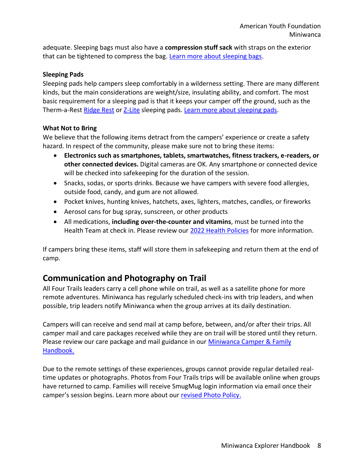adequate. Sleeping bags must also have a **compression stuff sack** with straps on the exterior that can be tightened to compress the bag. [Learn more about sleeping bags.](https://www.rei.com/learn/expert-advice/sleeping-bag.html)

#### **Sleeping Pads**

Sleeping pads help campers sleep comfortably in a wilderness setting. There are many different kinds, but the main considerations are weight/size, insulating ability, and comfort. The most basic requirement for a sleeping pad is that it keeps your camper off the ground, such as the Therm-a-Rest [Ridge Rest](https://www.thermarest.com/sleeping-pads/trek-and-travel/ridgerest-classic-sleeping-pad/ridgerest-classic.html) or [Z-Lite](https://www.thermarest.com/sleeping-pads/fast-and-light/z-lite-sol-sleeping-pad/z-lite-sol.html) sleeping pads. [Learn more about sleeping pads.](https://www.rei.com/learn/expert-advice/sleeping-pads.html)

#### **What Not to Bring**

We believe that the following items detract from the campers' experience or create a safety hazard. In respect of the community, please make sure not to bring these items:

- **Electronics such as smartphones, tablets, smartwatches, fitness trackers, e-readers, or other connected devices.** Digital cameras are OK. Any smartphone or connected device will be checked into safekeeping for the duration of the session.
- Snacks, sodas, or sports drinks. Because we have campers with severe food allergies, outside food, candy, and gum are not allowed.
- Pocket knives, hunting knives, hatchets, axes, lighters, matches, candles, or fireworks
- Aerosol cans for bug spray, sunscreen, or other products
- All medications, **including over-the-counter and vitamins**, must be turned into the Health Team at check in. Please review our [2022 Health Policies](https://ayf.com/wp-content/uploads/2022/02/MW-2022-Health-Updates.pdf) for more information.

If campers bring these items, staff will store them in safekeeping and return them at the end of camp.

## **Communication and Photography on Trail**

All Four Trails leaders carry a cell phone while on trail, as well as a satellite phone for more remote adventures. Miniwanca has regularly scheduled check-ins with trip leaders, and when possible, trip leaders notify Miniwanca when the group arrives at its daily destination.

Campers will can receive and send mail at camp before, between, and/or after their trips. All camper mail and care packages received while they are on trail will be stored until they return. Please review our care package and mail guidance in our [Miniwanca Camper & Family](https://ayf.com/wp-content/uploads/2022/03/2022-Miniwanca-Handbook.pdf)  [Handbook.](https://ayf.com/wp-content/uploads/2022/03/2022-Miniwanca-Handbook.pdf)

Due to the remote settings of these experiences, groups cannot provide regular detailed realtime updates or photographs. Photos from Four Trails trips will be available online when groups have returned to camp. Families will receive SmugMug login information via email once their camper's session begins. Learn more about our [revised Photo Policy.](https://ayf.com/ayf-onsite-photo-policy/)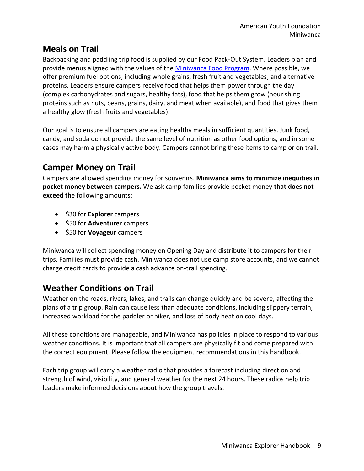## **Meals on Trail**

Backpacking and paddling trip food is supplied by our Food Pack-Out System. Leaders plan and provide menus aligned with the values of the [Miniwanca Food Program.](https://ayf.com/wp-content/uploads/2022/03/2022-Miniwanca-Handbook.pdf) Where possible, we offer premium fuel options, including whole grains, fresh fruit and vegetables, and alternative proteins. Leaders ensure campers receive food that helps them power through the day (complex carbohydrates and sugars, healthy fats), food that helps them grow (nourishing proteins such as nuts, beans, grains, dairy, and meat when available), and food that gives them a healthy glow (fresh fruits and vegetables).

Our goal is to ensure all campers are eating healthy meals in sufficient quantities. Junk food, candy, and soda do not provide the same level of nutrition as other food options, and in some cases may harm a physically active body. Campers cannot bring these items to camp or on trail.

## **Camper Money on Trail**

Campers are allowed spending money for souvenirs. **Miniwanca aims to minimize inequities in pocket money between campers.** We ask camp families provide pocket money **that does not exceed** the following amounts:

- \$30 for **Explorer** campers
- \$50 for **Adventurer** campers
- \$50 for **Voyageur** campers

Miniwanca will collect spending money on Opening Day and distribute it to campers for their trips. Families must provide cash. Miniwanca does not use camp store accounts, and we cannot charge credit cards to provide a cash advance on-trail spending.

## **Weather Conditions on Trail**

Weather on the roads, rivers, lakes, and trails can change quickly and be severe, affecting the plans of a trip group. Rain can cause less than adequate conditions, including slippery terrain, increased workload for the paddler or hiker, and loss of body heat on cool days.

All these conditions are manageable, and Miniwanca has policies in place to respond to various weather conditions. It is important that all campers are physically fit and come prepared with the correct equipment. Please follow the equipment recommendations in this handbook.

Each trip group will carry a weather radio that provides a forecast including direction and strength of wind, visibility, and general weather for the next 24 hours. These radios help trip leaders make informed decisions about how the group travels.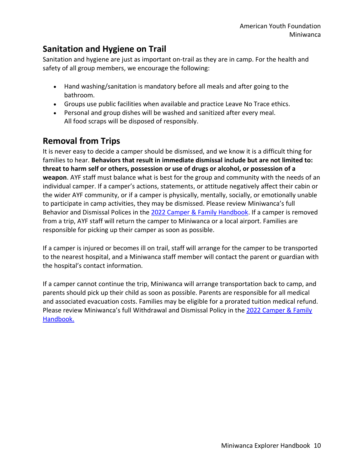## **Sanitation and Hygiene on Trail**

Sanitation and hygiene are just as important on-trail as they are in camp. For the health and safety of all group members, we encourage the following:

- Hand washing/sanitation is mandatory before all meals and after going to the bathroom.
- Groups use public facilities when available and practice Leave No Trace ethics.
- Personal and group dishes will be washed and sanitized after every meal. All food scraps will be disposed of responsibly.

## **Removal from Trips**

It is never easy to decide a camper should be dismissed, and we know it is a difficult thing for families to hear. **Behaviors that result in immediate dismissal include but are not limited to: threat to harm self or others, possession or use of drugs or alcohol, or possession of a weapon**. AYF staff must balance what is best for the group and community with the needs of an individual camper. If a camper's actions, statements, or attitude negatively affect their cabin or the wider AYF community, or if a camper is physically, mentally, socially, or emotionally unable to participate in camp activities, they may be dismissed. Please review Miniwanca's full Behavior and Dismissal Polices in the [2022 Camper & Family Handbook.](https://ayf.com/wp-content/uploads/2022/03/2022-Miniwanca-Handbook.pdf) If a camper is removed from a trip, AYF staff will return the camper to Miniwanca or a local airport. Families are responsible for picking up their camper as soon as possible.

If a camper is injured or becomes ill on trail, staff will arrange for the camper to be transported to the nearest hospital, and a Miniwanca staff member will contact the parent or guardian with the hospital's contact information.

If a camper cannot continue the trip, Miniwanca will arrange transportation back to camp, and parents should pick up their child as soon as possible. Parents are responsible for all medical and associated evacuation costs. Families may be eligible for a prorated tuition medical refund. Please review Miniwanca's full Withdrawal and Dismissal Policy in the [2022 Camper & Family](https://ayf.com/wp-content/uploads/2022/03/2022-Miniwanca-Handbook.pdf)  [Handbook.](https://ayf.com/wp-content/uploads/2022/03/2022-Miniwanca-Handbook.pdf)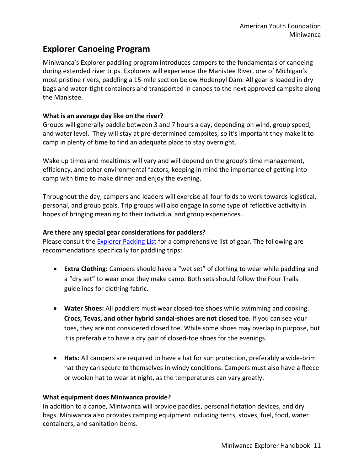## **Explorer Canoeing Program**

Miniwanca's Explorer paddling program introduces campers to the fundamentals of canoeing during extended river trips. Explorers will experience the Manistee River, one of Michigan's most pristine rivers, paddling a 15-mile section below Hodenpyl Dam. All gear is loaded in dry bags and water-tight containers and transported in canoes to the next approved campsite along the Manistee.

#### **What is an average day like on the river?**

Groups will generally paddle between 3 and 7 hours a day, depending on wind, group speed, and water level. They will stay at pre-determined campsites, so it's important they make it to camp in plenty of time to find an adequate place to stay overnight.

Wake up times and mealtimes will vary and will depend on the group's time management, efficiency, and other environmental factors, keeping in mind the importance of getting into camp with time to make dinner and enjoy the evening.

Throughout the day, campers and leaders will exercise all four folds to work towards logistical, personal, and group goals. Trip groups will also engage in some type of reflective activity in hopes of bringing meaning to their individual and group experiences.

#### **Are there any special gear considerations for paddlers?**

Please consult the [Explorer Packing List](https://ayf.com/wp-content/uploads/2022/04/MW-EXP-Packing-List-2022.pdf) for a comprehensive list of gear. The following are recommendations specifically for paddling trips:

- **Extra Clothing:** Campers should have a "wet set" of clothing to wear while paddling and a "dry set" to wear once they make camp. Both sets should follow the Four Trails guidelines for clothing fabric.
- **Water Shoes:** All paddlers must wear closed-toe shoes while swimming and cooking. **Crocs, Tevas, and other hybrid sandal-shoes are not closed toe.** If you can see your toes, they are not considered closed toe. While some shoes may overlap in purpose, but it is preferable to have a dry pair of closed-toe shoes for the evenings.
- **Hats:** All campers are required to have a hat for sun protection, preferably a wide-brim hat they can secure to themselves in windy conditions. Campers must also have a fleece or woolen hat to wear at night, as the temperatures can vary greatly.

#### **What equipment does Miniwanca provide?**

In addition to a canoe, Miniwanca will provide paddles, personal flotation devices, and dry bags. Miniwanca also provides camping equipment including tents, stoves, fuel, food, water containers, and sanitation items.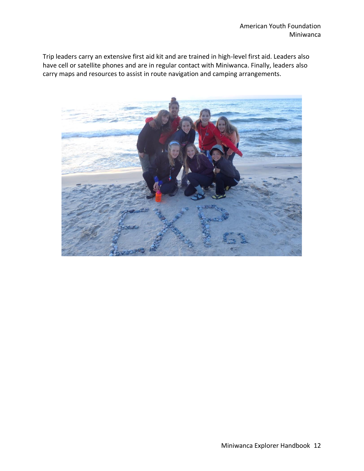Trip leaders carry an extensive first aid kit and are trained in high-level first aid. Leaders also have cell or satellite phones and are in regular contact with Miniwanca. Finally, leaders also carry maps and resources to assist in route navigation and camping arrangements.

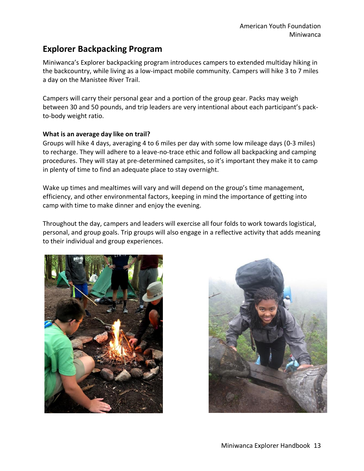## **Explorer Backpacking Program**

Miniwanca's Explorer backpacking program introduces campers to extended multiday hiking in the backcountry, while living as a low-impact mobile community. Campers will hike 3 to 7 miles a day on the Manistee River Trail.

Campers will carry their personal gear and a portion of the group gear. Packs may weigh between 30 and 50 pounds, and trip leaders are very intentional about each participant's packto-body weight ratio.

#### **What is an average day like on trail?**

Groups will hike 4 days, averaging 4 to 6 miles per day with some low mileage days (0-3 miles) to recharge. They will adhere to a leave-no-trace ethic and follow all backpacking and camping procedures. They will stay at pre-determined campsites, so it's important they make it to camp in plenty of time to find an adequate place to stay overnight.

Wake up times and mealtimes will vary and will depend on the group's time management, efficiency, and other environmental factors, keeping in mind the importance of getting into camp with time to make dinner and enjoy the evening.

Throughout the day, campers and leaders will exercise all four folds to work towards logistical, personal, and group goals. Trip groups will also engage in a reflective activity that adds meaning to their individual and group experiences.